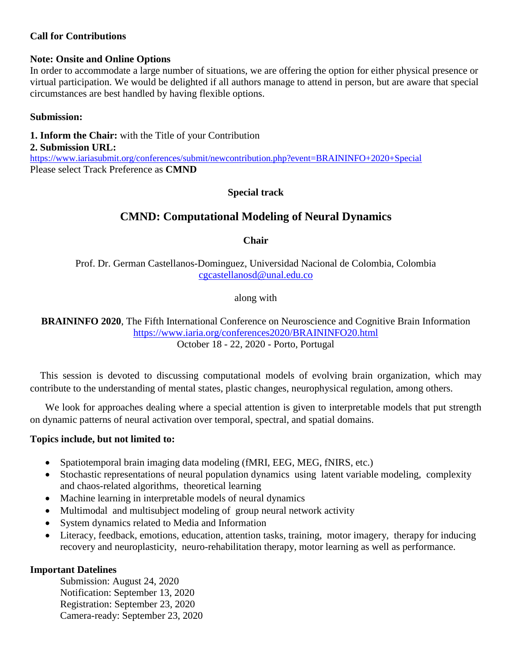#### **Call for Contributions**

#### **Note: Onsite and Online Options**

In order to accommodate a large number of situations, we are offering the option for either physical presence or virtual participation. We would be delighted if all authors manage to attend in person, but are aware that special circumstances are best handled by having flexible options.

#### **Submission:**

**1. Inform the Chair:** with the Title of your Contribution **2. Submission URL:** <https://www.iariasubmit.org/conferences/submit/newcontribution.php?event=BRAININFO+2020+Special> Please select Track Preference as **CMND**

#### **Special track**

# **CMND: Computational Modeling of Neural Dynamics**

**Chair**

Prof. Dr. German Castellanos-Dominguez, Universidad Nacional de Colombia, Colombia [cgcastellanosd@unal.edu.co](mailto:cgcastellanosd@unal.edu.co)

along with

**BRAININFO 2020**, The Fifth International Conference on Neuroscience and Cognitive Brain Information <https://www.iaria.org/conferences2020/BRAININFO20.html> October 18 - 22, 2020 - Porto, Portugal

This session is devoted to discussing computational models of evolving brain organization, which may contribute to the understanding of mental states, plastic changes, neurophysical regulation, among others.

We look for approaches dealing where a special attention is given to interpretable models that put strength on dynamic patterns of neural activation over temporal, spectral, and spatial domains.

#### **Topics include, but not limited to:**

- Spatiotemporal brain imaging data modeling (fMRI, EEG, MEG, fNIRS, etc.)
- Stochastic representations of neural population dynamics using latent variable modeling, complexity and chaos-related algorithms, theoretical learning
- Machine learning in interpretable models of neural dynamics
- Multimodal and multisubject modeling of group neural network activity
- System dynamics related to Media and Information
- Literacy, feedback, emotions, education, attention tasks, training, motor imagery, therapy for inducing recovery and neuroplasticity, neuro-rehabilitation therapy, motor learning as well as performance.

#### **Important Datelines**

Submission: August 24, 2020 Notification: September 13, 2020 Registration: September 23, 2020 Camera-ready: September 23, 2020